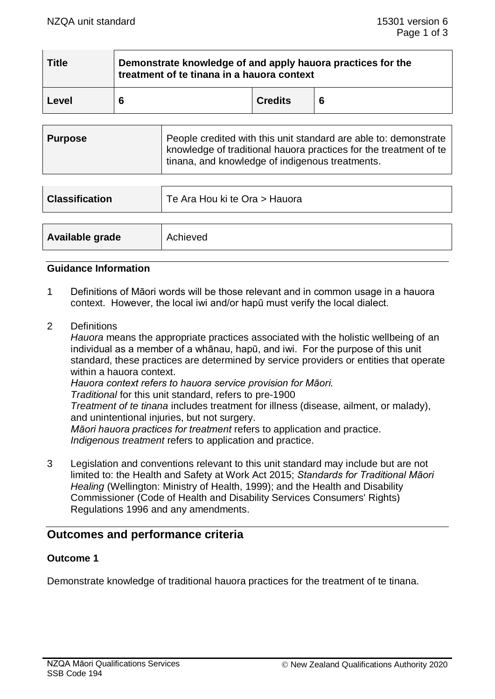| <b>Title</b> | Demonstrate knowledge of and apply hauora practices for the<br>treatment of te tinana in a hauora context |                |  |
|--------------|-----------------------------------------------------------------------------------------------------------|----------------|--|
| Level        | 6                                                                                                         | <b>Credits</b> |  |

| <b>Purpose</b> | People credited with this unit standard are able to: demonstrate<br>  knowledge of traditional hauora practices for the treatment of te<br>tinana, and knowledge of indigenous treatments. |
|----------------|--------------------------------------------------------------------------------------------------------------------------------------------------------------------------------------------|
|                |                                                                                                                                                                                            |

| <b>Classification</b> | Te Ara Hou ki te Ora > Hauora |
|-----------------------|-------------------------------|
|                       |                               |
| Available grade       | Achieved                      |

#### **Guidance Information**

- 1 Definitions of Māori words will be those relevant and in common usage in a hauora context. However, the local iwi and/or hapū must verify the local dialect.
- 2 Definitions

*Hauora* means the appropriate practices associated with the holistic wellbeing of an individual as a member of a whānau, hapū, and iwi. For the purpose of this unit standard, these practices are determined by service providers or entities that operate within a hauora context.

*Hauora context refers to hauora service provision for Māori.*

*Traditional* for this unit standard, refers to pre-1900

*Treatment of te tinana* includes treatment for illness (disease, ailment, or malady), and unintentional injuries, but not surgery.

*Māori hauora practices for treatment* refers to application and practice. *Indigenous treatment* refers to application and practice.

3 Legislation and conventions relevant to this unit standard may include but are not limited to: the Health and Safety at Work Act 2015; *Standards for Traditional Māori Healing* (Wellington: Ministry of Health, 1999); and the Health and Disability Commissioner (Code of Health and Disability Services Consumers' Rights) Regulations 1996 and any amendments.

# **Outcomes and performance criteria**

#### **Outcome 1**

Demonstrate knowledge of traditional hauora practices for the treatment of te tinana.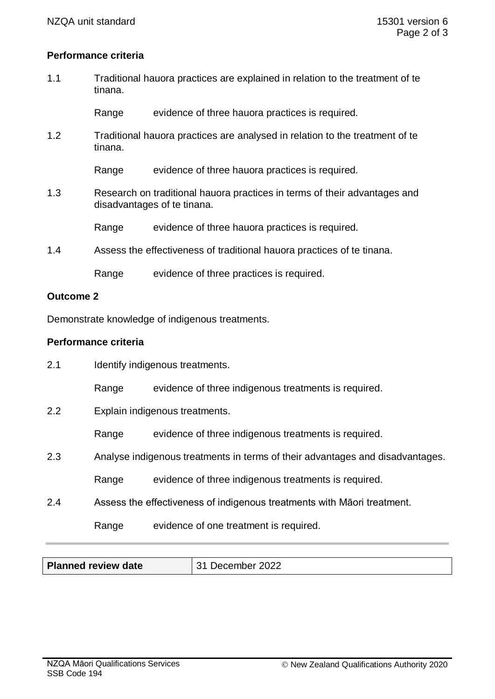### **Performance criteria**

1.1 Traditional hauora practices are explained in relation to the treatment of te tinana.

Range evidence of three hauora practices is required.

1.2 Traditional hauora practices are analysed in relation to the treatment of te tinana.

Range evidence of three hauora practices is required.

1.3 Research on traditional hauora practices in terms of their advantages and disadvantages of te tinana.

Range evidence of three hauora practices is required.

1.4 Assess the effectiveness of traditional hauora practices of te tinana.

Range evidence of three practices is required.

#### **Outcome 2**

Demonstrate knowledge of indigenous treatments.

## **Performance criteria**

| 2.1 | Identify indigenous treatments.                                               |                                                                         |  |
|-----|-------------------------------------------------------------------------------|-------------------------------------------------------------------------|--|
|     | Range                                                                         | evidence of three indigenous treatments is required.                    |  |
| 2.2 | Explain indigenous treatments.                                                |                                                                         |  |
|     | Range                                                                         | evidence of three indigenous treatments is required.                    |  |
| 2.3 | Analyse indigenous treatments in terms of their advantages and disadvantages. |                                                                         |  |
|     | Range                                                                         | evidence of three indigenous treatments is required.                    |  |
| 2.4 |                                                                               | Assess the effectiveness of indigenous treatments with Maori treatment. |  |
|     | Range                                                                         | evidence of one treatment is required.                                  |  |

| <b>Planned review date</b> | 31 December 2022 |
|----------------------------|------------------|
|----------------------------|------------------|